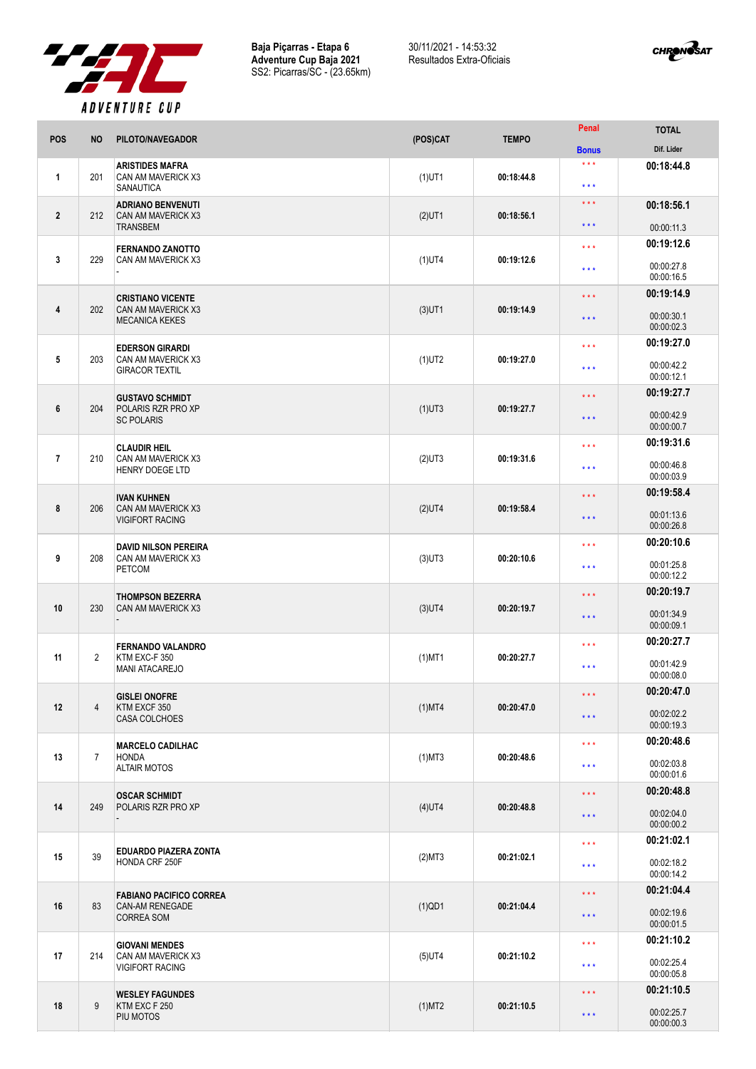

**Baja Piçarras - Etapa 6 Adventure Cup Baja 2021** SS2: Picarras/SC - (23.65km) 30/11/2021 - 14:53:32 Resultados Extra-Oficiais



|                |                |                                                                  |           |              | Penal                                      | <b>TOTAL</b>             |
|----------------|----------------|------------------------------------------------------------------|-----------|--------------|--------------------------------------------|--------------------------|
| <b>POS</b>     | <b>NO</b>      | PILOTO/NAVEGADOR                                                 | (POS)CAT  | <b>TEMPO</b> | <b>Bonus</b>                               | Dif. Lider               |
| 1              | 201            | <b>ARISTIDES MAFRA</b><br>CAN AM MAVERICK X3<br><b>SANAUTICA</b> | $(1)$ UT1 | 00:18:44.8   | $\star \star \star$<br>$\star \star \star$ | 00:18:44.8               |
|                |                | <b>ADRIANO BENVENUTI</b>                                         |           |              | $\star \star \star$                        | 00:18:56.1               |
| $\mathbf{2}$   | 212            | CAN AM MAVERICK X3<br><b>TRANSBEM</b>                            | $(2)$ UT1 | 00:18:56.1   | * * *                                      | 00:00:11.3               |
|                |                | <b>FERNANDO ZANOTTO</b>                                          |           |              | $\star$ $\star$ $\star$                    | 00:19:12.6               |
| 3              | 229            | CAN AM MAVERICK X3                                               | $(1)$ UT4 | 00:19:12.6   | $\star \star \star$                        | 00:00:27.8<br>00:00:16.5 |
|                |                | <b>CRISTIANO VICENTE</b>                                         |           |              | * * *                                      | 00:19:14.9               |
| 4              | 202            | CAN AM MAVERICK X3<br><b>MECANICA KEKES</b>                      | $(3)$ UT1 | 00:19:14.9   | $\star \star \star$                        | 00:00:30.1<br>00:00:02.3 |
| 5              | 203            | <b>EDERSON GIRARDI</b><br>CAN AM MAVERICK X3                     | $(1)$ UT2 | 00:19:27.0   | * * *                                      | 00:19:27.0               |
|                |                | <b>GIRACOR TEXTIL</b>                                            |           |              | ***                                        | 00:00:42.2<br>00:00:12.1 |
| 6              | 204            | <b>GUSTAVO SCHMIDT</b><br>POLARIS RZR PRO XP                     |           | 00:19:27.7   | $\star \star \star$                        | 00:19:27.7               |
|                |                | <b>SC POLARIS</b>                                                | $(1)$ UT3 |              | $\star\star\star$                          | 00:00:42.9<br>00:00:00.7 |
|                |                | <b>CLAUDIR HEIL</b>                                              |           |              | $\star \star \star$                        | 00:19:31.6               |
| $\overline{1}$ | 210            | CAN AM MAVERICK X3<br>HENRY DOEGE LTD                            | $(2)$ UT3 | 00:19:31.6   | $\star \star \star$                        | 00:00:46.8<br>00:00:03.9 |
|                |                | <b>IVAN KUHNEN</b>                                               |           |              | $\star \star \star$                        | 00:19:58.4               |
| 8              | 206            | CAN AM MAVERICK X3<br><b>VIGIFORT RACING</b>                     | $(2)$ UT4 | 00:19:58.4   | * * *                                      | 00:01:13.6<br>00:00:26.8 |
|                |                | <b>DAVID NILSON PEREIRA</b>                                      |           |              | $\star \star \star$                        | 00:20:10.6               |
| 9              | 208            | CAN AM MAVERICK X3<br><b>PETCOM</b>                              | $(3)$ UT3 | 00:20:10.6   | $\star \star \star$                        | 00:01:25.8<br>00:00:12.2 |
|                |                | <b>THOMPSON BEZERRA</b><br>CAN AM MAVERICK X3                    |           |              | $\star \star \star$                        | 00:20:19.7               |
| 10             | 230            |                                                                  | $(3)$ UT4 | 00:20:19.7   | $\star \star \star$                        | 00:01:34.9<br>00:00:09.1 |
|                |                | <b>FERNANDO VALANDRO</b>                                         |           |              | $\star \star \star$                        | 00:20:27.7               |
| 11             | $\overline{2}$ | KTM EXC-F 350                                                    | $(1)$ MT1 | 00:20:27.7   | $***$                                      | 00:01:42.9               |
|                |                | <b>MANI ATACAREJO</b>                                            |           |              |                                            | 00:00:08.0               |
| 12             | $\overline{4}$ | <b>GISLEI ONOFRE</b><br>KTM EXCF 350<br><b>CASA COLCHOES</b>     | $(1)$ MT4 | 00:20:47.0   | $\star$ $\star$ $\star$                    | 00:20:47.0               |
|                |                |                                                                  |           |              | $\star \star \star$                        | 00:02:02.2<br>00:00:19.3 |
|                |                | <b>MARCELO CADILHAC</b>                                          |           |              | $\star \star \star$                        | 00:20:48.6               |
| 13             | $\overline{7}$ | <b>HONDA</b><br><b>ALTAIR MOTOS</b>                              | $(1)$ MT3 | 00:20:48.6   | $\star \star \star$                        | 00:02:03.8<br>00:00:01.6 |
|                |                | <b>OSCAR SCHMIDT</b><br>249<br>POLARIS RZR PRO XP                | $(4)$ UT4 | 00:20:48.8   | $\star$ $\star$ $\star$                    | 00:20:48.8               |
| 14             |                |                                                                  |           |              | $\star\star\star$                          | 00:02:04.0<br>00:00:00.2 |
|                |                | EDUARDO PIAZERA ZONTA                                            |           |              | $\star \star \star$                        | 00:21:02.1               |
| 15             | 39             | HONDA CRF 250F                                                   | (2)MT3    | 00:21:02.1   | $\star \star \star$                        | 00:02:18.2<br>00:00:14.2 |
|                |                | <b>FABIANO PACIFICO CORREA</b>                                   |           |              | $\star$ $\star$ $\star$                    | 00:21:04.4               |
| 16             | 83             | <b>CAN-AM RENEGADE</b><br>CORREA SOM                             | $(1)$ QD1 | 00:21:04.4   | $\star \star \star$                        | 00:02:19.6<br>00:00:01.5 |
|                |                | <b>GIOVANI MENDES</b>                                            |           | 00:21:10.2   | $\star$ $\star$ $\star$                    | 00:21:10.2               |
| 17             | 214            | CAN AM MAVERICK X3<br><b>VIGIFORT RACING</b>                     | $(5)$ UT4 |              | $\star \star \star$                        | 00:02:25.4<br>00:00:05.8 |
| 18             | 9              | <b>WESLEY FAGUNDES</b><br>KTM EXC F 250<br>PIU MOTOS             | $(1)$ MT2 | 00:21:10.5   | $\star\star\star$                          | 00:21:10.5               |
|                |                |                                                                  |           |              | $\star$ $\star$ $\star$                    | 00:02:25.7<br>00:00:00.3 |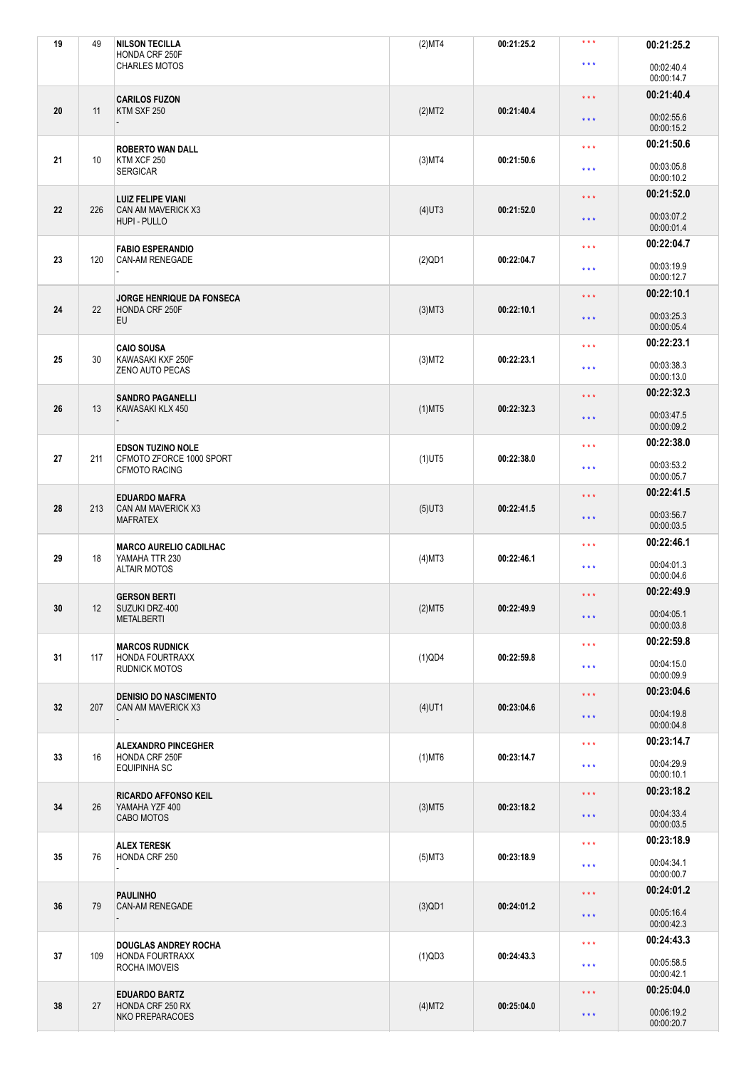| 19 | 49  | <b>NILSON TECILLA</b><br>HONDA CRF 250F          | (2)MT4    | 00:21:25.2 | ***                     | 00:21:25.2               |
|----|-----|--------------------------------------------------|-----------|------------|-------------------------|--------------------------|
|    |     | <b>CHARLES MOTOS</b>                             |           |            | $\star \star \star$     | 00:02:40.4<br>00:00:14.7 |
|    |     | <b>CARILOS FUZON</b>                             |           |            | $\star$ $\star$ $\star$ | 00:21:40.4               |
| 20 | 11  | KTM SXF 250                                      | (2)MT2    | 00:21:40.4 | $\star$ $\star$ $\star$ | 00:02:55.6<br>00:00:15.2 |
|    |     | <b>ROBERTO WAN DALL</b>                          |           |            | $\star \star \star$     | 00:21:50.6               |
| 21 | 10  | KTM XCF 250<br><b>SERGICAR</b>                   | $(3)$ MT4 | 00:21:50.6 | $***$                   | 00:03:05.8<br>00:00:10.2 |
|    |     | <b>LUIZ FELIPE VIANI</b>                         |           |            | $\star \star \star$     | 00:21:52.0               |
| 22 | 226 | CAN AM MAVERICK X3<br>HUPI - PULLO               | $(4)$ UT3 | 00:21:52.0 | $\star\star\star$       | 00:03:07.2<br>00:00:01.4 |
|    |     | <b>FABIO ESPERANDIO</b>                          |           |            | $\star \star \star$     | 00:22:04.7               |
| 23 | 120 | <b>CAN-AM RENEGADE</b>                           | $(2)$ QD1 | 00:22:04.7 | $\star \star \star$     | 00:03:19.9<br>00:00:12.7 |
|    |     | JORGE HENRIQUE DA FONSECA                        |           |            | $\star \star \star$     | 00:22:10.1               |
| 24 | 22  | HONDA CRF 250F<br>EU                             | $(3)$ MT3 | 00:22:10.1 | $\star$ $\star$ $\star$ | 00:03:25.3<br>00:00:05.4 |
|    |     | <b>CAIO SOUSA</b>                                |           |            | $***$                   | 00:22:23.1               |
| 25 | 30  | KAWASAKI KXF 250F<br>ZENO AUTO PECAS             | $(3)$ MT2 | 00:22:23.1 | $\star \star \star$     | 00:03:38.3<br>00:00:13.0 |
|    |     | <b>SANDRO PAGANELLI</b>                          |           |            | $\star \star \star$     | 00:22:32.3               |
| 26 | 13  | KAWASAKI KLX 450                                 | $(1)$ MT5 | 00:22:32.3 | $\star\star\star$       | 00:03:47.5<br>00:00:09.2 |
|    |     | <b>EDSON TUZINO NOLE</b>                         |           |            | $\star \star \star$     | 00:22:38.0               |
| 27 | 211 | CFMOTO ZFORCE 1000 SPORT<br><b>CFMOTO RACING</b> | $(1)$ UT5 | 00:22:38.0 | $\star \star \star$     | 00:03:53.2<br>00:00:05.7 |
|    |     | <b>EDUARDO MAFRA</b>                             |           |            | $\star$ $\star$ $\star$ | 00:22:41.5               |
| 28 | 213 | CAN AM MAVERICK X3<br><b>MAFRATEX</b>            | $(5)$ UT3 | 00:22:41.5 | $\star \star \star$     | 00:03:56.7<br>00:00:03.5 |
|    |     | <b>MARCO AURELIO CADILHAC</b>                    |           |            | $***$                   | 00:22:46.1               |
| 29 | 18  | YAMAHA TTR 230<br><b>ALTAIR MOTOS</b>            | $(4)$ MT3 | 00:22:46.1 | $\star \star \star$     | 00:04:01.3<br>00:00:04.6 |
|    |     | <b>GERSON BERTI</b>                              |           |            | $\star$ $\star$ $\star$ | 00:22:49.9               |
| 30 | 12  | SUZUKI DRZ-400<br><b>METALBERTI</b>              | $(2)$ MT5 | 00:22:49.9 | $\star \star \star$     | 00:04:05.1<br>00:00:03.8 |
|    |     | <b>MARCOS RUDNICK</b>                            |           |            | $\star$ $\star$ $\star$ | 00:22:59.8               |
| 31 | 117 | HONDA FOURTRAXX<br><b>RUDNICK MOTOS</b>          | $(1)$ QD4 | 00:22:59.8 | $\star \star \star$     | 00:04:15.0<br>00:00:09.9 |
|    |     | <b>DENISIO DO NASCIMENTO</b>                     |           |            | $\star$ $\star$ $\star$ | 00:23:04.6               |
| 32 | 207 | CAN AM MAVERICK X3                               | $(4)$ UT1 | 00:23:04.6 | $\star$ $\star$ $\star$ | 00:04:19.8<br>00:00:04.8 |
|    |     | <b>ALEXANDRO PINCEGHER</b>                       |           |            | $\star \star \star$     | 00:23:14.7               |
| 33 | 16  | HONDA CRF 250F<br><b>EQUIPINHA SC</b>            | $(1)$ MT6 | 00:23:14.7 | $\star\star\star$       | 00:04:29.9<br>00:00:10.1 |
|    |     | <b>RICARDO AFFONSO KEIL</b>                      |           |            | $\star \star \star$     | 00:23:18.2               |
| 34 | 26  | YAMAHA YZF 400<br>CABO MOTOS                     | $(3)$ MT5 | 00:23:18.2 | $\star\star\star$       | 00:04:33.4<br>00:00:03.5 |
|    |     | <b>ALEX TERESK</b>                               |           |            | $\star$ $\star$ $\star$ | 00:23:18.9               |
| 35 | 76  | HONDA CRF 250<br>$\overline{\phantom{a}}$        | $(5)$ MT3 | 00:23:18.9 | $***$                   | 00:04:34.1<br>00:00:00.7 |
|    |     | <b>PAULINHO</b>                                  |           |            | $\star$ $\star$ $\star$ | 00:24:01.2               |
| 36 | 79  | CAN-AM RENEGADE                                  | $(3)$ QD1 | 00:24:01.2 | $\star$ $\star$ $\star$ | 00:05:16.4<br>00:00:42.3 |
|    |     | <b>DOUGLAS ANDREY ROCHA</b>                      |           |            | $\star \star \star$     | 00:24:43.3               |
| 37 | 109 | HONDA FOURTRAXX<br>ROCHA IMOVEIS                 | (1)QD3    | 00:24:43.3 | $\star \star \star$     | 00:05:58.5<br>00:00:42.1 |
|    |     | <b>EDUARDO BARTZ</b>                             |           |            | $\star \star \star$     | 00:25:04.0               |
| 38 | 27  | HONDA CRF 250 RX<br>NKO PREPARACOES              | (4)MT2    | 00:25:04.0 | $\star$ $\star$ $\star$ | 00:06:19.2<br>00:00:20.7 |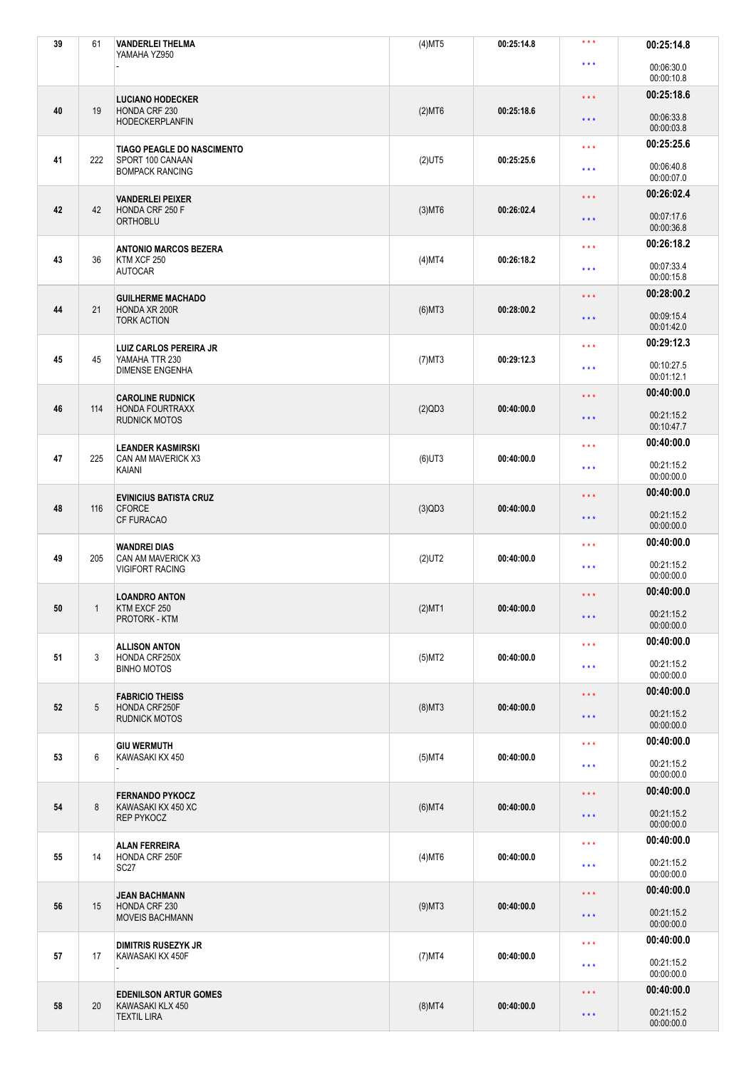| 39 | 61  | <b>VANDERLEI THELMA</b><br>YAMAHA YZ950      | $(4)$ MT5 | 00:25:14.8 | ***                     | 00:25:14.8               |
|----|-----|----------------------------------------------|-----------|------------|-------------------------|--------------------------|
|    |     |                                              |           |            | $\star \star \star$     | 00:06:30.0<br>00:00:10.8 |
|    |     | <b>LUCIANO HODECKER</b>                      |           |            | $\star \star \star$     | 00:25:18.6               |
| 40 | 19  | HONDA CRF 230<br><b>HODECKERPLANFIN</b>      | $(2)$ MT6 | 00:25:18.6 | $\star\star\star$       | 00:06:33.8<br>00:00:03.8 |
|    |     | <b>TIAGO PEAGLE DO NASCIMENTO</b>            |           |            | $***$                   | 00:25:25.6               |
| 41 | 222 | SPORT 100 CANAAN<br><b>BOMPACK RANCING</b>   | $(2)$ UT5 | 00:25:25.6 | * * *                   | 00:06:40.8<br>00:00:07.0 |
|    |     | <b>VANDERLEI PEIXER</b>                      |           |            | $\star \star \star$     | 00:26:02.4               |
| 42 | 42  | HONDA CRF 250 F<br><b>ORTHOBLU</b>           | $(3)$ MT6 | 00:26:02.4 | $\star\star\star$       | 00:07:17.6<br>00:00:36.8 |
|    |     | <b>ANTONIO MARCOS BEZERA</b>                 |           |            | $\star \star \star$     | 00:26:18.2               |
| 43 | 36  | KTM XCF 250<br><b>AUTOCAR</b>                | $(4)$ MT4 | 00:26:18.2 | $\star \star \star$     | 00:07:33.4<br>00:00:15.8 |
|    |     | <b>GUILHERME MACHADO</b>                     |           |            | $\star$ $\star$ $\star$ | 00:28:00.2               |
| 44 | 21  | HONDA XR 200R<br><b>TORK ACTION</b>          | $(6)$ MT3 | 00:28:00.2 | $\star$ $\star$ $\star$ | 00:09:15.4<br>00:01:42.0 |
|    |     | <b>LUIZ CARLOS PEREIRA JR</b>                |           |            | $***$                   | 00:29:12.3               |
| 45 | 45  | YAMAHA TTR 230<br><b>DIMENSE ENGENHA</b>     | $(7)$ MT3 | 00:29:12.3 | $***$                   | 00:10:27.5<br>00:01:12.1 |
|    |     | <b>CAROLINE RUDNICK</b>                      |           |            | $***$                   | 00:40:00.0               |
| 46 | 114 | HONDA FOURTRAXX<br><b>RUDNICK MOTOS</b>      | (2)QD3    | 00:40:00.0 | $\star\star\star$       | 00:21:15.2<br>00:10:47.7 |
|    |     | <b>LEANDER KASMIRSKI</b>                     |           |            | $\star \star \star$     | 00:40:00.0               |
| 47 | 225 | CAN AM MAVERICK X3<br>KAIANI                 | $(6)$ UT3 | 00:40:00.0 | $\star \star \star$     | 00:21:15.2<br>00:00:00.0 |
|    |     | <b>EVINICIUS BATISTA CRUZ</b>                |           |            | $\star \star \star$     | 00:40:00.0               |
| 48 | 116 | <b>CFORCE</b><br><b>CF FURACAO</b>           | $(3)$ QD3 | 00:40:00.0 | * * *                   | 00:21:15.2<br>00:00:00.0 |
|    |     | <b>WANDREI DIAS</b>                          |           |            | $***$                   | 00:40:00.0               |
| 49 | 205 | CAN AM MAVERICK X3<br><b>VIGIFORT RACING</b> | $(2)$ UT2 | 00:40:00.0 | $\star \star \star$     | 00:21:15.2<br>00:00:00.0 |
|    |     | <b>LOANDRO ANTON</b>                         |           |            | * * *                   | 00:40:00.0               |
| 50 | 1   | KTM EXCF 250<br>PROTORK - KTM                | $(2)$ MT1 | 00:40:00.0 | $\star$ $\star$ $\star$ | 00:21:15.2<br>00:00:00.0 |
|    |     | <b>ALLISON ANTON</b>                         |           |            | $\star$ $\star$ $\star$ | 00:40:00.0               |
| 51 | 3   | HONDA CRF250X<br><b>BINHO MOTOS</b>          | $(5)$ MT2 | 00:40:00.0 | $\star \star \star$     | 00:21:15.2<br>00:00:00.0 |
|    |     | <b>FABRICIO THEISS</b>                       |           |            | $\star$ $\star$ $\star$ | 00:40:00.0               |
| 52 | 5   | HONDA CRF250F<br><b>RUDNICK MOTOS</b>        | $(8)$ MT3 | 00:40:00.0 | $\star\star\star$       | 00:21:15.2<br>00:00:00.0 |
|    |     | <b>GIU WERMUTH</b>                           |           |            | $\star$ $\star$ $\star$ | 00:40:00.0               |
| 53 | 6   | KAWASAKI KX 450                              | $(5)$ MT4 | 00:40:00.0 | $\star\star\star$       | 00:21:15.2<br>00:00:00.0 |
|    |     | <b>FERNANDO PYKOCZ</b>                       |           |            | $\star \star \star$     | 00:40:00.0               |
| 54 | 8   | KAWASAKI KX 450 XC<br>REP PYKOCZ             | $(6)$ MT4 | 00:40:00.0 | $\star\star\star$       | 00:21:15.2<br>00:00:00.0 |
|    |     | <b>ALAN FERREIRA</b>                         |           |            | $\star$ $\star$ $\star$ | 00:40:00.0               |
| 55 | 14  | HONDA CRF 250F<br>SC <sub>27</sub>           | $(4)$ MT6 | 00:40:00.0 | $\star\star\star$       | 00:21:15.2<br>00:00:00.0 |
|    |     | <b>JEAN BACHMANN</b>                         |           |            | $\star$ $\star$ $\star$ | 00:40:00.0               |
| 56 | 15  | HONDA CRF 230<br><b>MOVEIS BACHMANN</b>      | $(9)$ MT3 | 00:40:00.0 | $\star$ $\star$ $\star$ | 00:21:15.2<br>00:00:00.0 |
|    |     | <b>DIMITRIS RUSEZYK JR</b>                   |           |            | $\star$ $\star$ $\star$ | 00:40:00.0               |
| 57 | 17  | KAWASAKI KX 450F                             | $(7)$ MT4 | 00:40:00.0 | $***$                   | 00:21:15.2<br>00:00:00.0 |
|    |     | <b>EDENILSON ARTUR GOMES</b>                 |           |            | $\star \star \star$     | 00:40:00.0               |
| 58 | 20  | KAWASAKI KLX 450<br><b>TEXTIL LIRA</b>       | $(8)$ MT4 | 00:40:00.0 | $\star$ $\star$ $\star$ | 00:21:15.2<br>00:00:00.0 |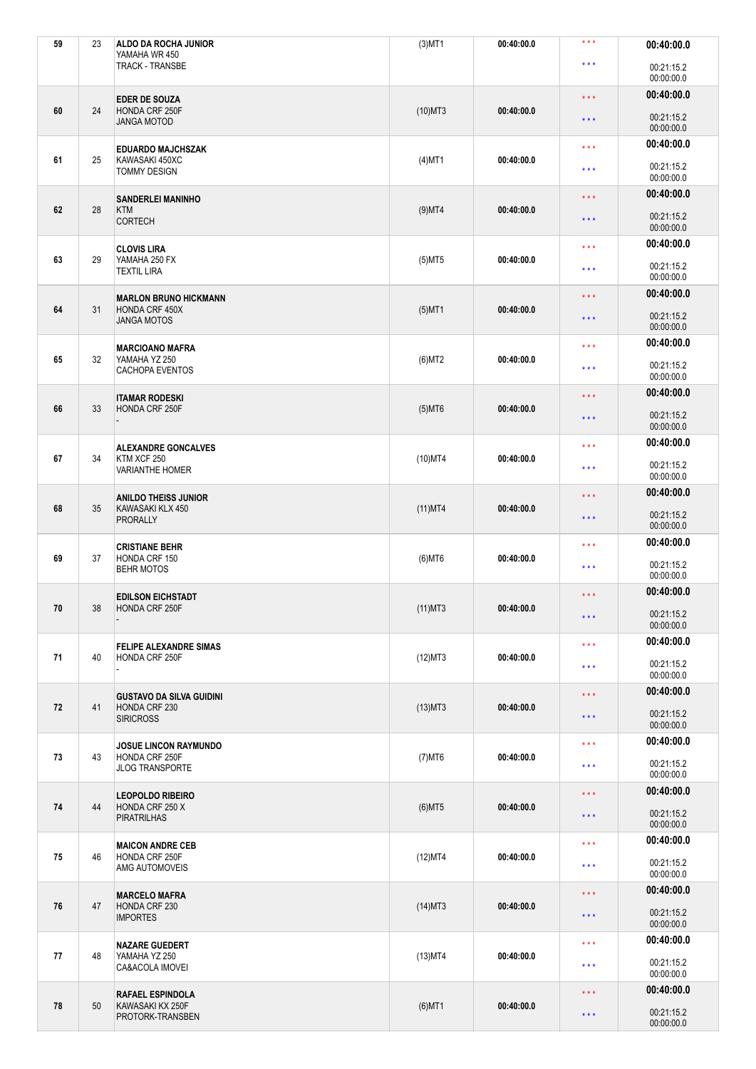| 59 | 23 | ALDO DA ROCHA JUNIOR<br>YAMAHA WR 450                              | $(3)$ MT1  | 00:40:00.0 | * * *                   | 00:40:00.0               |
|----|----|--------------------------------------------------------------------|------------|------------|-------------------------|--------------------------|
|    |    | <b>TRACK - TRANSBE</b>                                             |            |            | $\star \star \star$     | 00:21:15.2<br>00:00:00.0 |
|    |    | <b>EDER DE SOUZA</b>                                               |            |            | $\star\star\star$       | 00:40:00.0               |
| 60 | 24 | HONDA CRF 250F<br><b>JANGA MOTOD</b>                               | $(10)$ MT3 | 00:40:00.0 | $\star\star\star$       | 00:21:15.2<br>00:00:00.0 |
|    |    | <b>EDUARDO MAJCHSZAK</b>                                           |            |            | $\star \star \star$     | 00:40:00.0               |
| 61 | 25 | KAWASAKI 450XC<br><b>TOMMY DESIGN</b>                              | $(4)$ MT1  | 00:40:00.0 | * * *                   | 00:21:15.2<br>00:00:00.0 |
|    |    | <b>SANDERLEI MANINHO</b>                                           |            |            | $***$                   | 00:40:00.0               |
| 62 | 28 | <b>KTM</b><br><b>CORTECH</b>                                       | $(9)$ MT4  | 00:40:00.0 | $\star\star\star$       | 00:21:15.2<br>00:00:00.0 |
|    |    | <b>CLOVIS LIRA</b>                                                 |            |            | $\star \star \star$     | 00:40:00.0               |
| 63 | 29 | YAMAHA 250 FX<br><b>TEXTIL LIRA</b>                                | $(5)$ MT5  | 00:40:00.0 | $***$                   | 00:21:15.2<br>00:00:00.0 |
|    |    | <b>MARLON BRUNO HICKMANN</b>                                       |            |            | $\star\star\star$       | 00:40:00.0               |
| 64 | 31 | HONDA CRF 450X<br><b>JANGA MOTOS</b>                               | $(5)$ MT1  | 00:40:00.0 | $\star\star\star$       | 00:21:15.2<br>00:00:00.0 |
|    |    | <b>MARCIOANO MAFRA</b>                                             |            |            | * * *                   | 00:40:00.0               |
| 65 | 32 | YAMAHA YZ 250<br><b>CACHOPA EVENTOS</b>                            | $(6)$ MT2  | 00:40:00.0 | $\star \star \star$     | 00:21:15.2<br>00:00:00.0 |
|    |    | <b>ITAMAR RODESKI</b>                                              |            |            | $\star \star \star$     | 00:40:00.0               |
| 66 | 33 | HONDA CRF 250F                                                     | $(5)$ MT6  | 00:40:00.0 | $\star\star\star$       | 00:21:15.2<br>00:00:00.0 |
|    |    | <b>ALEXANDRE GONCALVES</b>                                         |            |            | $\star \star \star$     | 00:40:00.0               |
| 67 | 34 | KTM XCF 250<br><b>VARIANTHE HOMER</b>                              | $(10)$ MT4 | 00:40:00.0 | $\star \star \star$     | 00:21:15.2<br>00:00:00.0 |
|    | 35 | <b>ANILDO THEISS JUNIOR</b><br>KAWASAKI KLX 450<br><b>PRORALLY</b> |            | 00:40:00.0 | $\star\star\star$       | 00:40:00.0               |
| 68 |    |                                                                    | $(11)$ MT4 |            | $\star\star\star$       | 00:21:15.2<br>00:00:00.0 |
|    |    | <b>CRISTIANE BEHR</b>                                              |            |            | $***$                   | 00:40:00.0               |
| 69 | 37 | HONDA CRF 150<br><b>BEHR MOTOS</b>                                 | $(6)$ MT6  | 00:40:00.0 | * * *                   | 00:21:15.2<br>00:00:00.0 |
|    |    | <b>EDILSON EICHSTADT</b>                                           |            |            | $***$                   | 00:40:00.0               |
| 70 | 38 | HONDA CRF 250F                                                     | $(11)$ MT3 | 00:40:00.0 | $\star$ $\star$ $\star$ | 00:21:15.2<br>00:00:00.0 |
|    |    | <b>FELIPE ALEXANDRE SIMAS</b>                                      |            |            | $\star$ $\star$ $\star$ | 00:40:00.0               |
| 71 | 40 | HONDA CRF 250F                                                     | (12)MT3    | 00:40:00.0 | $\star \star \star$     | 00:21:15.2<br>00:00:00.0 |
|    |    |                                                                    |            |            | $\star\star\star$       | 00:40:00.0               |
| 72 | 41 | <b>GUSTAVO DA SILVA GUIDINI</b><br>HONDA CRF 230                   | $(13)$ MT3 | 00:40:00.0 | $\star\star\star$       | 00:21:15.2               |
|    |    | <b>SIRICROSS</b>                                                   |            |            |                         | 00:00:00.0               |
| 73 | 43 | <b>JOSUE LINCON RAYMUNDO</b><br>HONDA CRF 250F                     | $(7)$ MT6  | 00:40:00.0 | $\star \star \star$     | 00:40:00.0               |
|    |    | <b>JLOG TRANSPORTE</b>                                             |            |            | $***$                   | 00:21:15.2<br>00:00:00.0 |
| 74 | 44 | <b>LEOPOLDO RIBEIRO</b><br>HONDA CRF 250 X                         | $(6)$ MT5  | 00:40:00.0 | $\star \star \star$     | 00:40:00.0               |
|    |    | <b>PIRATRILHAS</b>                                                 |            |            | $\star\star\star$       | 00:21:15.2<br>00:00:00.0 |
|    |    | <b>MAICON ANDRE CEB</b>                                            |            |            | $\star \star \star$     | 00:40:00.0               |
| 75 | 46 | HONDA CRF 250F<br>AMG AUTOMOVEIS                                   | (12)MT4    | 00:40:00.0 | * * *                   | 00:21:15.2<br>00:00:00.0 |
|    |    | <b>MARCELO MAFRA</b>                                               |            |            | $\star\star\star$       | 00:40:00.0               |
| 76 | 47 | HONDA CRF 230<br><b>IMPORTES</b>                                   | $(14)$ MT3 | 00:40:00.0 | $\star \star \star$     | 00:21:15.2<br>00:00:00.0 |
|    |    | <b>NAZARE GUEDERT</b>                                              |            |            | $\star\star\star$       | 00:40:00.0               |
| 77 | 48 | YAMAHA YZ 250<br>CA&ACOLA IMOVEI                                   | $(13)$ MT4 | 00:40:00.0 | $\star \star \star$     | 00:21:15.2<br>00:00:00.0 |
|    |    | <b>RAFAEL ESPINDOLA</b>                                            |            |            | $\star\star\star$       | 00:40:00.0               |
| 78 | 50 | KAWASAKI KX 250F<br>PROTORK-TRANSBEN                               | $(6)$ MT1  | 00:40:00.0 | $\star\star\star$       | 00:21:15.2<br>00:00:00.0 |